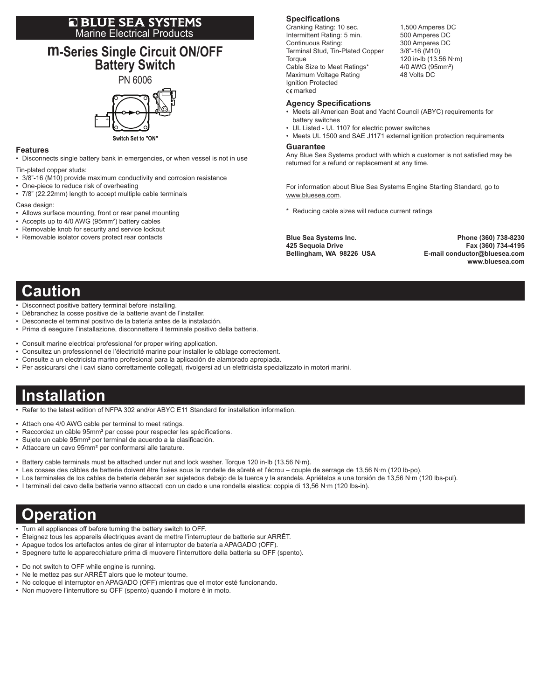# **E BLUE SEA SYSTEMS**<br>Marine Electrical Products

### **m-Series Single Circuit ON/OFF Battery Switch**

# PN 6006

**Switch Set to "ON"**

#### **Features**

• Disconnects single battery bank in emergencies, or when vessel is not in use

- Tin-plated copper studs:
- 3/8"-16 (M10) provide maximum conductivity and corrosion resistance
- One-piece to reduce risk of overheating • 7/8" (22.22mm) length to accept multiple cable terminals
- Case design:
- Allows surface mounting, front or rear panel mounting
- Accepts up to 4/0 AWG (95mm<sup>2</sup>) battery cables
- Removable knob for security and service lockout
- Removable isolator covers protect rear contacts

#### **Specifications**

Cranking Rating: 10 sec. 1,500 Amperes DC Intermittent Rating: 5 min. 500 Amperes DC Continuous Rating: 300 Amperes DC Terminal Stud, Tin-Plated Copper 3/8"-16 (M10) Torque 120 in-lb (13.56 N·m) Cable Size to Meet Ratings\* 4/0 AWG (95mm<sup>2</sup>) Maximum Voltage Rating **48 Volts DC** Ignition Protected marked

#### **Agency Specifications**

- • Meets all American Boat and Yacht Council (ABYC) requirements for battery switches
- UL Listed UL 1107 for electric power switches
- Meets UL 1500 and SAE J1171 external ignition protection requirements

#### **Guarantee**

Any Blue Sea Systems product with which a customer is not satisfied may be returned for a refund or replacement at any time.

For information about Blue Sea Systems Engine Starting Standard, go to www.bluesea.com.

\* Reducing cable sizes will reduce current ratings

**Blue Sea Systems Inc. Phone (360) 738-8230 425 Sequoia Drive Fax (360) 734-4195**  $E$ -mail conductor@bluesea.com  **www.bluesea.com**

## **Caution**

- Disconnect positive battery terminal before installing.
- • Débranchez la cosse positive de la batterie avant de l'installer.
- Desconecte el terminal positivo de la batería antes de la instalación.
- • Prima di eseguire l'installazione, disconnettere il terminale positivo della batteria.
- • Consult marine electrical professional for proper wiring application.
- • Consultez un professionnel de l'électricité marine pour installer le câblage correctement.
- Consulte a un electricista marino profesional para la aplicación de alambrado apropiada.
- • Per assicurarsi che i cavi siano correttamente collegati, rivolgersi ad un elettricista specializzato in motori marini.

## **Installation**

- Refer to the latest edition of NFPA 302 and/or ABYC E11 Standard for installation information.
- Attach one 4/0 AWG cable per terminal to meet ratings.
- Raccordez un câble 95mm<sup>2</sup> par cosse pour respecter les spécifications.
- • Sujete un cable 95mm² por terminal de acuerdo a la clasificación.
- • Attaccare un cavo 95mm² per conformarsi alle tarature.
- Battery cable terminals must be attached under nut and lock washer. Torque 120 in-lb (13.56 N·m).
- • Les cosses des câbles de batterie doivent être fixées sous la rondelle de sûreté et l'écrou couple de serrage de 13,56 N·m (120 lb-po).
- • Los terminales de los cables de batería deberán ser sujetados debajo de la tuerca y la arandela. Apriételos a una torsión de 13,56 N·m (120 lbs-pul).
- • I terminali del cavo della batteria vanno attaccati con un dado e una rondella elastica: coppia di 13,56 N·m (120 lbs-in).

## **Operation**

- Turn all appliances off before turning the battery switch to OFF.
- Éteignez tous les appareils électriques avant de mettre l'interrupteur de batterie sur ARRÊT.
- • Apague todos los artefactos antes de girar el interruptor de batería a APAGADO (OFF).
- • Spegnere tutte le apparecchiature prima di muovere l'interruttore della batteria su OFF (spento).
- Do not switch to OFF while engine is running.
- Ne le mettez pas sur ARRÊT alors que le moteur tourne.
- • No coloque el interruptor en APAGADO (OFF) mientras que el motor esté funcionando.
- • Non muovere l'interruttore su OFF (spento) quando il motore è in moto.